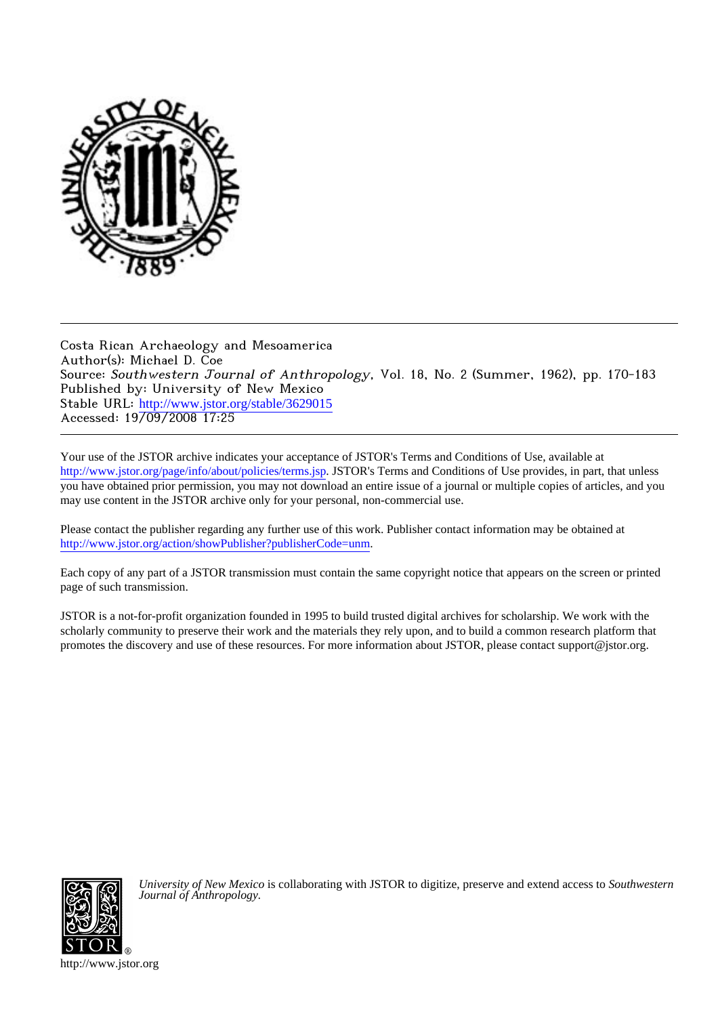

Costa Rican Archaeology and Mesoamerica Author(s): Michael D. Coe Source: Southwestern Journal of Anthropology, Vol. 18, No. 2 (Summer, 1962), pp. 170-183 Published by: University of New Mexico Stable URL: [http://www.jstor.org/stable/3629015](http://www.jstor.org/stable/3629015?origin=JSTOR-pdf) Accessed: 19/09/2008 17:25

Your use of the JSTOR archive indicates your acceptance of JSTOR's Terms and Conditions of Use, available at <http://www.jstor.org/page/info/about/policies/terms.jsp>. JSTOR's Terms and Conditions of Use provides, in part, that unless you have obtained prior permission, you may not download an entire issue of a journal or multiple copies of articles, and you may use content in the JSTOR archive only for your personal, non-commercial use.

Please contact the publisher regarding any further use of this work. Publisher contact information may be obtained at [http://www.jstor.org/action/showPublisher?publisherCode=unm.](http://www.jstor.org/action/showPublisher?publisherCode=unm)

Each copy of any part of a JSTOR transmission must contain the same copyright notice that appears on the screen or printed page of such transmission.

JSTOR is a not-for-profit organization founded in 1995 to build trusted digital archives for scholarship. We work with the scholarly community to preserve their work and the materials they rely upon, and to build a common research platform that promotes the discovery and use of these resources. For more information about JSTOR, please contact support@jstor.org.



*University of New Mexico* is collaborating with JSTOR to digitize, preserve and extend access to *Southwestern Journal of Anthropology.*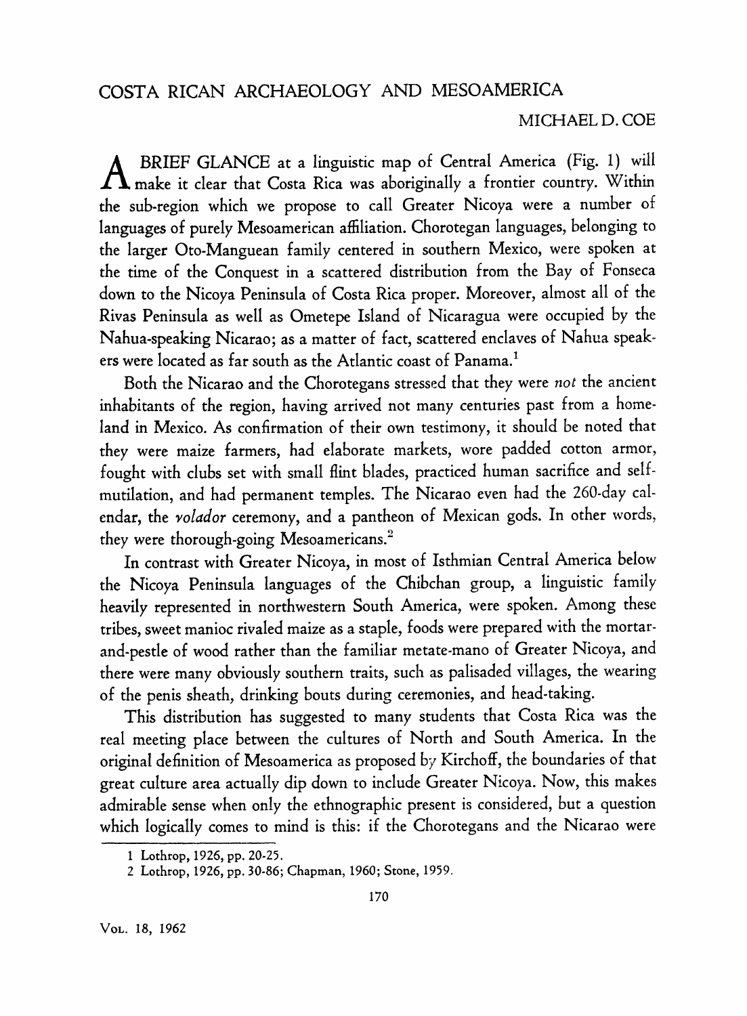**BRIEF GLANCE at a linguistic map of Central America (Fig. 1) will make it clear that Costa Rica was aboriginally a frontier country. Within the sub-region which we propose to call Greater Nicoya were a number of languages of purely Mesoamerican affiliation. Chorotegan languages, belonging to the larger Oto-Manguean family centered in southern Mexico, were spoken at the time of the Conquest in a scattered distribution from the Bay of Fonseca down to the Nicoya Peninsula of Costa Rica proper. Moreover, almost all of the Rivas Peninsula as well as Ometepe Island of Nicaragua were occupied by the Nahua-speaking Nicarao; as a matter of fact, scattered enclaves of Nahua speakers were located as far south as the Atlantic coast of Panama.1** 

**Both the Nicarao and the Chorotegans stressed that they were not the ancient inhabitants of the region, having arrived not many centuries past from a homeland in Mexico. As confirmation of their own testimony, it should be noted that they were maize farmers, had elaborate markets, wore padded cotton armor, fought with clubs set with small flint blades, practiced human sacrifice and selfmutilation, and had permanent temples. The Nicarao even had the 260-day calendar, the volador ceremony, and a pantheon of Mexican gods. In other words, they were thorough-going Mesoamericans.2** 

**In contrast with Greater Nicoya, in most of Isthmian Central America below the Nicoya Peninsula languages of the Chibchan group, a linguistic family heavily represented in northwestern South America, were spoken. Among these tribes, sweet manioc rivaled maize as a staple, foods were prepared with the mortarand-pestle of wood rather than the familiar metate-mano of Greater Nicoya, and there were many obviously southern traits, such as palisaded villages, the wearing of the penis sheath, drinking bouts during ceremonies, and head-taking.** 

**This distribution has suggested to many students that Costa Rica was the real meeting place between the cultures of North and South America. In the original definition of Mesoamerica as proposed by Kirchoff, the boundaries of that great culture area actually dip down to include Greater Nicoya. Now, this makes admirable sense when only the ethnographic present is considered, but a question which logically comes to mind is this: if the Chorotegans and the Nicarao were** 

**<sup>1</sup> Lothrop, 1926, pp. 20-25.** 

**<sup>2</sup> Lothrop, 1926, pp. 30-86; Chapman, 1960; Stone, 1959.**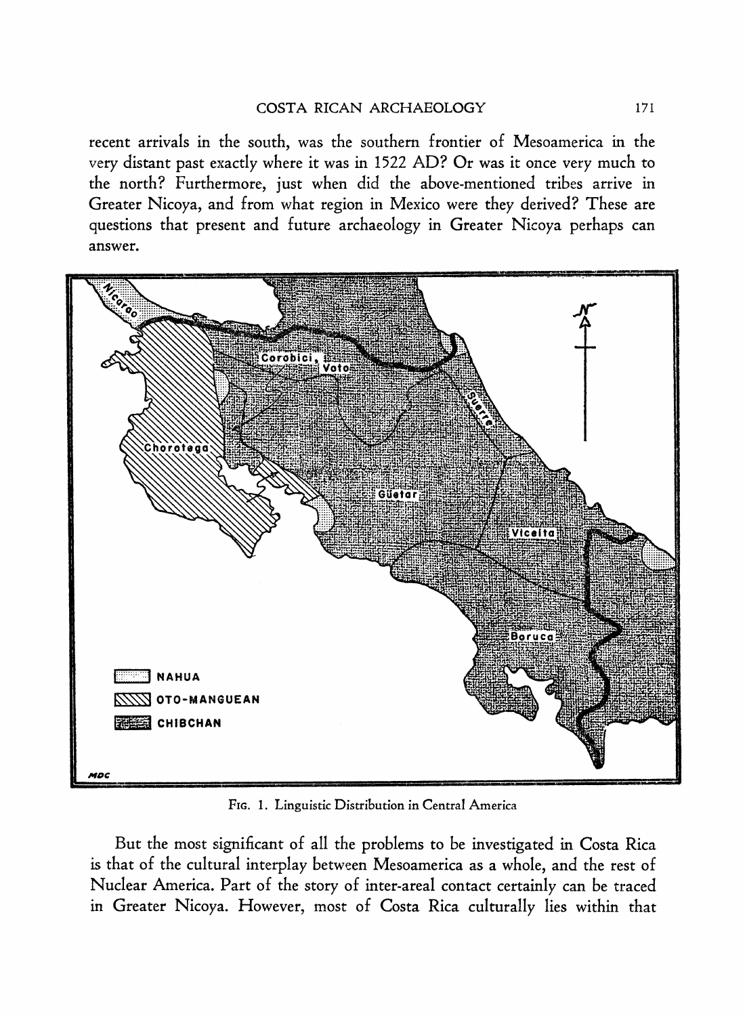**recent arrivals in the south, was the southern frontier of Mesoamerica in the very distant past exactly where it was in 1522 AD? Or was it once very much to the north? Furthermore, just when did the above-mentioned tribes arrive in Greater Nicoya, and from what region in Mexico were they derived? These are questions that present and future archaeology in Greater Nicoya perhaps can answer.** 



**FIG. 1. Linguistic Distribution in Central America** 

**But the most significant of all the problems to be investigated in Costa Rica is that of the cultural interplay between Mesoamerica as a whole, and the rest of Nuclear America. Part of the story of inter-areal contact certainly can be traced in Greater Nicoya. However, most of Costa Rica culturally lies within that**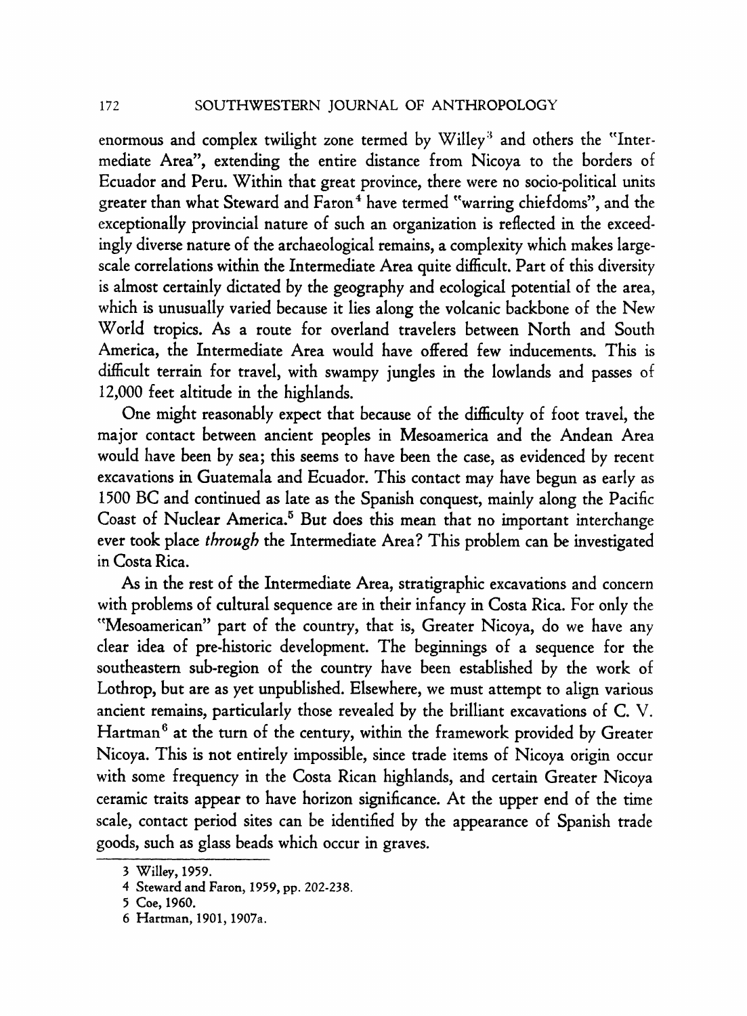enormous and complex twilight zone termed by Willey<sup>3</sup> and others the "Inter**mediate Area", extending the entire distance from Nicoya to the borders of Ecuador and Peru. Within that great province, there were no socio-political units**  greater than what Steward and Faron<sup>4</sup> have termed "warring chiefdoms", and the **exceptionally provincial nature of such an organization is reflected in the exceedingly diverse nature of the archaeological remains, a complexity which makes largescale correlations within the Intermediate Area quite difficult. Part of this diversity is almost certainly dictated by the geography and ecological potential of the area, which is unusually varied because it lies along the volcanic backbone of the New World tropics. As a route for overland travelers between North and South America, the Intermediate Area would have offered few inducements. This is difficult terrain for travel, with swampy jungles in the lowlands and passes of 12,000 feet altitude in the highlands.** 

**One might reasonably expect that because of the difficulty of foot travel, the major contact between ancient peoples in Mesoamerica and the Andean Area would have been by sea; this seems to have been the case, as evidenced by recent excavations in Guatemala and Ecuador. This contact may have begun as early as 1500 BC and continued as late as the Spanish conquest, mainly along the Pacific Coast of Nuclear America.5 But does this mean that no important interchange ever took place through the Intermediate Area? This problem can be investigated in Costa Rica.** 

**As in the rest of the Intermediate Area, stratigraphic excavations and concern with problems of cultural sequence are in their infancy in Costa Rica. For only the "Mesoamerican" part of the country, that is, Greater Nicoya, do we have any clear idea of pre-historic development. The beginnings of a sequence for the southeastern sub-region of the country have been established by the work of Lothrop, but are as yet unpublished. Elsewhere, we must attempt to align various ancient remains, particularly those revealed by the brilliant excavations of C. V. Hartman6 at the turn of the century, within the framework provided by Greater Nicoya. This is not entirely impossible, since trade items of Nicoya origin occur with some frequency in the Costa Rican highlands, and certain Greater Nicoya ceramic traits appear to have horizon significance. At the upper end of the time scale, contact period sites can be identified by the appearance of Spanish trade goods, such as glass beads which occur in graves.** 

**<sup>3</sup> Willey, 1959.** 

**<sup>4</sup> Steward and Faron, 1959, pp. 202-238.** 

**<sup>5</sup> Coe, 1960.** 

**<sup>6</sup> Hartman, 1901,1907a.**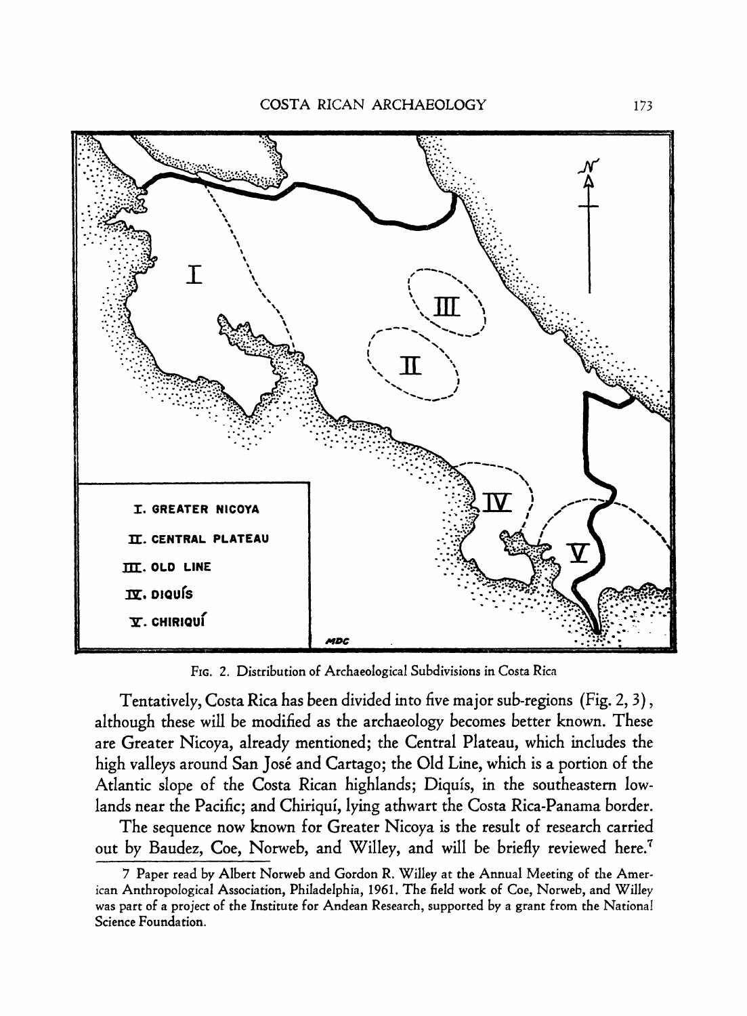

**FIG. 2. Distribution of Archaeological Subdivisions in Costa Rica** 

**Tentatively, Costa Rica has been divided into five major sub-regions (Fig. 2, 3), although these will be modified as the archaeology becomes better known. These are Greater Nicoya, already mentioned; the Central Plateau, which includes the high valleys around San Jose and Cartago; the Old Line, which is a portion of the Atlantic slope of the Costa Rican highlands; Diquis, in the southeastern lowlands near the Pacific; and Chiriqui, lying athwart the Costa Rica-Panama border.** 

**The sequence now known for Greater Nicoya is the result of research carried out by Baudez, Coe, Norweb, and Willey, and will be briefly reviewed here.7** 

**<sup>7</sup> Paper read by Albert Norweb and Gordon R. Willey at the Annual Meeting of the American Anthropological Association, Philadelphia, 1961. The field work of Coe, Norweb, and Willey was part of a project of the Institute for Andean Research, supported by a grant from the National Science Foundation.**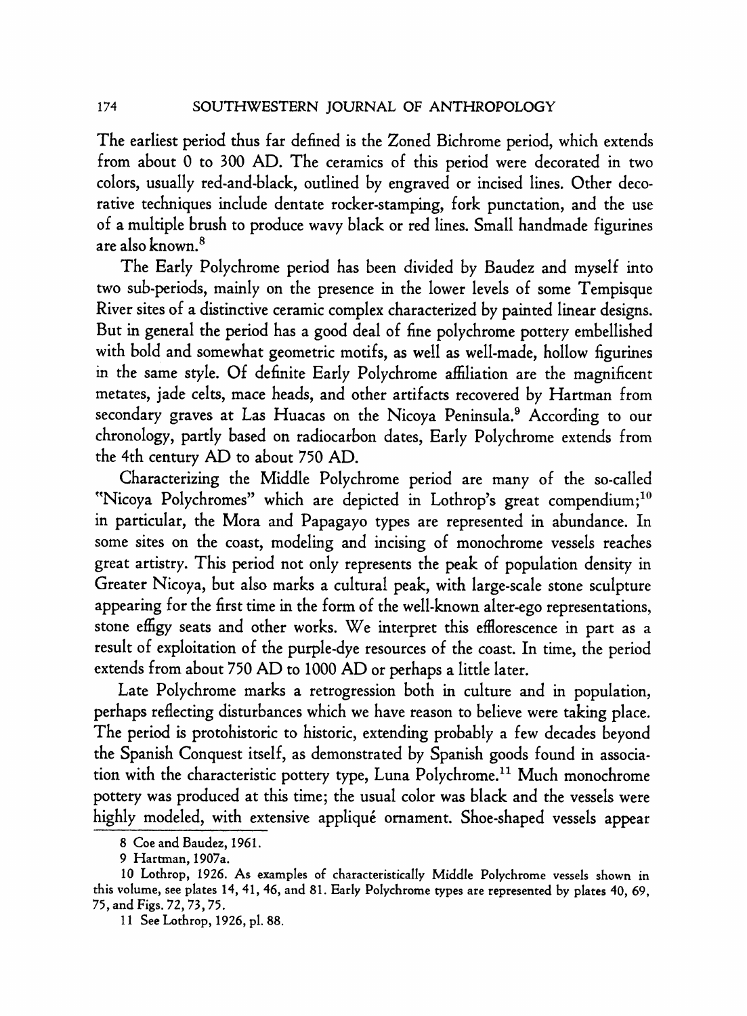**The earliest period thus far defined is the Zoned Bichrome period, which extends from about 0 to 300 AD. The ceramics of this period were decorated in two colors, usually red-and-black, outlined by engraved or incised lines. Other decorative techniques include dentate rocker-stamping, fork punctation, and the use of a multiple brush to produce wavy black or red lines. Small handmade figurines are also known.8** 

**The Early Polychrome period has been divided by Baudez and myself into two sub-periods, mainly on the presence in the lower levels of some Tempisque River sites of a distinctive ceramic complex characterized by painted linear designs. But in general the period has a good deal of fine polychrome pottery embellished with bold and somewhat geometric motifs, as well as well-made, hollow figurines in the same style. Of definite Early Polychrome affiliation are the magnificent metates, jade celts, mace heads, and other artifacts recovered by Hartman from secondary graves at Las Huacas on the Nicoya Peninsula.9 According to our chronology, partly based on radiocarbon dates, Early Polychrome extends from the 4th century AD to about 750 AD.** 

**Characterizing the Middle Polychrome period are many of the so-called**  "Nicoya Polychromes" which are depicted in Lothrop's great compendium;<sup>10</sup> **in particular, the Mora and Papagayo types are represented in abundance. In some sites on the coast, modeling and incising of monochrome vessels reaches great artistry. This period not only represents the peak of population density in Greater Nicoya, but also marks a cultural peak, with large-scale stone sculpture appearing for the first time in the form of the well-known alter-ego representations, stone effigy seats and other works. We interpret this efflorescence in part as a result of exploitation of the purple-dye resources of the coast. In time, the period extends from about 750 AD to 1000 AD or perhaps a little later.** 

**Late Polychrome marks a retrogression both in culture and in population, perhaps reflecting disturbances which we have reason to believe were taking place. The period is protohistoric to historic, extending probably a few decades beyond the Spanish Conquest itself, as demonstrated by Spanish goods found in association with the characteristic pottery type, Luna Polychrome.11 Much monochrome pottery was produced at this time; the usual color was black and the vessels were highly modeled, with extensive applique ornament. Shoe-shaped vessels appear** 

**<sup>8</sup> Coe and Baudez, 1961.** 

**<sup>9</sup> Hartman, 1907a.** 

**<sup>10</sup> Lothrop, 1926. As examples of characteristically Middle Polychrome vessels shown in this volume, see plates 14, 41, 46, and 81. Early Polychrome types are represented by plates 40, 69, 75, and Figs. 72, 73, 75.** 

**<sup>11</sup> See Lothrop, 1926, pl. 88.**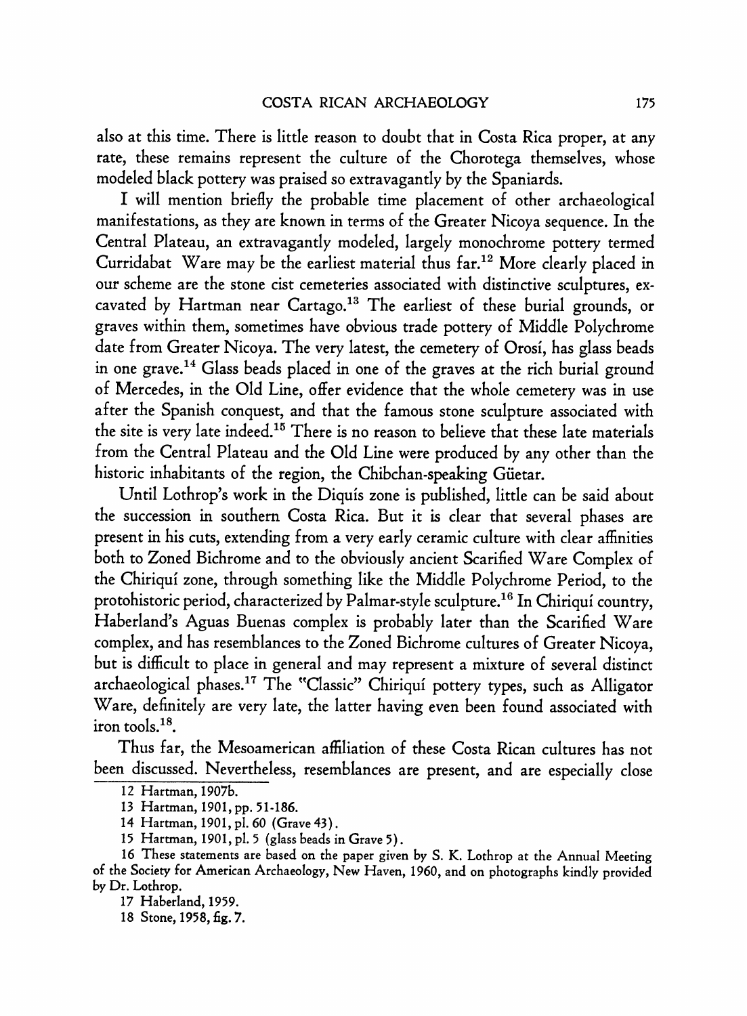**also at this time. There is little reason to doubt that in Costa Rica proper, at any rate, these remains represent the culture of the Chorotega themselves, whose modeled black pottery was praised so extravagantly by the Spaniards.** 

**I will mention briefly the probable time placement of other archaeological manifestations, as they are known in terms of the Greater Nicoya sequence. In the Central Plateau, an extravagantly modeled, largely monochrome pottery termed Curridabat Ware may be the earliest material thus far.12 More clearly placed in our scheme are the stone cist cemeteries associated with distinctive sculptures, excavated by Hartman near Cartago.13 The earliest of these burial grounds, or graves within them, sometimes have obvious trade pottery of Middle Polychrome date from Greater Nicoya. The very latest, the cemetery of Orosi, has glass beads in one grave.14 Glass beads placed in one of the graves at the rich burial ground of Mercedes, in the Old Line, offer evidence that the whole cemetery was in use after the Spanish conquest, and that the famous stone sculpture associated with the site is very late indeed.l5 There is no reason to believe that these late materials from the Central Plateau and the Old Line were produced by any other than the historic inhabitants of the region, the Chibchan-speaking Giietar.** 

**Until Lothrop's work in the Diquis zone is published, little can be said about the succession in southern Costa Rica. But it is clear that several phases are present in his cuts, extending from a very early ceramic culture with clear affinities both to Zoned Bichrome and to the obviously ancient Scarified Ware Complex of the Chiriqui zone, through something like the Middle Polychrome Period, to the protohistoric period, characterized by Palmar-style sculpture.16 In Chiriqui country, Haberland's Aguas Buenas complex is probably later than the Scarified Ware complex, and has resemblances to the Zoned Bichrome cultures of Greater Nicoya, but is difficult to place in general and may represent a mixture of several distinct archaeological phases.l7 The "Classic" Chiriqui pottery types, such as Alligator Ware, definitely are very late, the latter having even been found associated with iron tools.18.** 

**Thus far, the Mesoamerican affiliation of these Costa Rican cultures has not been discussed. Nevertheless, resemblances are present, and are especially close** 

**<sup>12</sup> Hartman, 1907b.** 

**<sup>13</sup> Hartman, 1901, pp. 51-186.** 

**<sup>14</sup> Hartman, 1901, pl. 60 (Grave 43).** 

**<sup>15</sup> Hartman, 1901, pl. 5 (glass beads in Grave 5).** 

**<sup>16</sup> These statements are based on the paper given by S. K. Lothrop at the Annual Meeting of the Society for American Archaeology, New Haven, 1960, and on photographs kindly provided by Dr. Lothrop.** 

**<sup>17</sup> Haberland, 1959.** 

**<sup>18</sup> Stone, 1958, fig. 7.**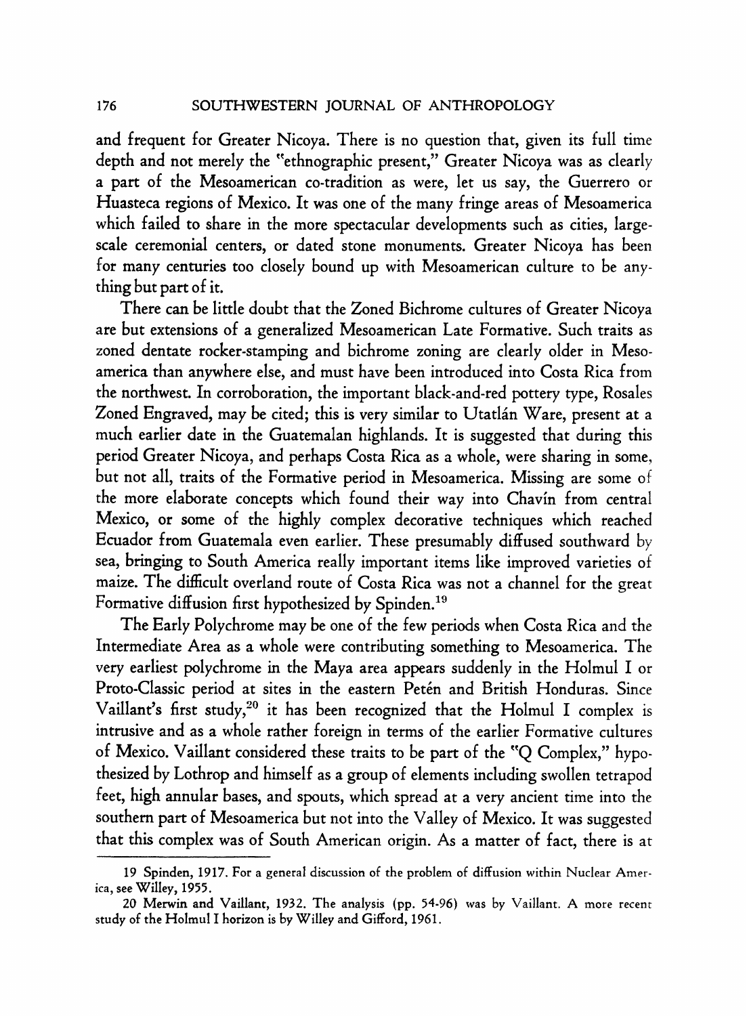**and frequent for Greater Nicoya. There is no question that, given its full time depth and not merely the "ethnographic present," Greater Nicoya was as clearly a part of the Mesoamerican co-tradition as were, let us say, the Guerrero or Huasteca regions of Mexico. It was one of the many fringe areas of Mesoamerica which failed to share in the more spectacular developments such as cities, largescale ceremonial centers, or dated stone monuments. Greater Nicoya has been for many centuries too closely bound up with Mesoamerican culture to be anything but part of it.** 

**There can be little doubt that the Zoned Bichrome cultures of Greater Nicoya are but extensions of a generalized Mesoamerican Late Formative. Such traits as zoned dentate rocker-stamping and bichrome zoning are clearly older in Mesoamerica than anywhere else, and must have been introduced into Costa Rica from the northwest. In corroboration, the important black-and-red pottery type, Rosales**  Zoned Engraved, may be cited; this is very similar to Utatlán Ware, present at a **much earlier date in the Guatemalan highlands. It is suggested that during this period Greater Nicoya, and perhaps Costa Rica as a whole, were sharing in some, but not all, traits of the Formative period in Mesoamerica. Missing are some of the more elaborate concepts which found their way into Chavin from central Mexico, or some of the highly complex decorative techniques which reached Ecuador from Guatemala even earlier. These presumably diffused southward by sea, bringing to South America really important items like improved varieties of maize. The difficult overland route of Costa Rica was not a channel for the great**  Formative diffusion first hypothesized by Spinden.<sup>19</sup>

**The Early Polychrome may be one of the few periods when Costa Rica and the Intermediate Area as a whole were contributing something to Mesoamerica. The very earliest polychrome in the Maya area appears suddenly in the Holmul I or**  Proto-Classic period at sites in the eastern Petén and British Honduras. Since Vaillant's first study,<sup>20</sup> it has been recognized that the Holmul I complex is **intrusive and as a whole rather foreign in terms of the earlier Formative cultures of Mexico. Vaillant considered these traits to be part of the "Q Complex," hypothesized by Lothrop and himself as a group of elements including swollen tetrapod feet, high annular bases, and spouts, which spread at a very ancient time into the southern part of Mesoamerica but not into the Valley of Mexico. It was suggested that this complex was of South American origin. As a matter of fact, there is at** 

**<sup>19</sup> Spinden, 1917. For a general discussion of the problem of diffusion within Nuclear America, see Willey, 1955.** 

**<sup>20</sup> Merwin and Vaillant, 1932. The analysis (pp. 54-96) was by Vaillant. A more recent study of the Holmul I horizon is by Willey and Gifford, 1961.**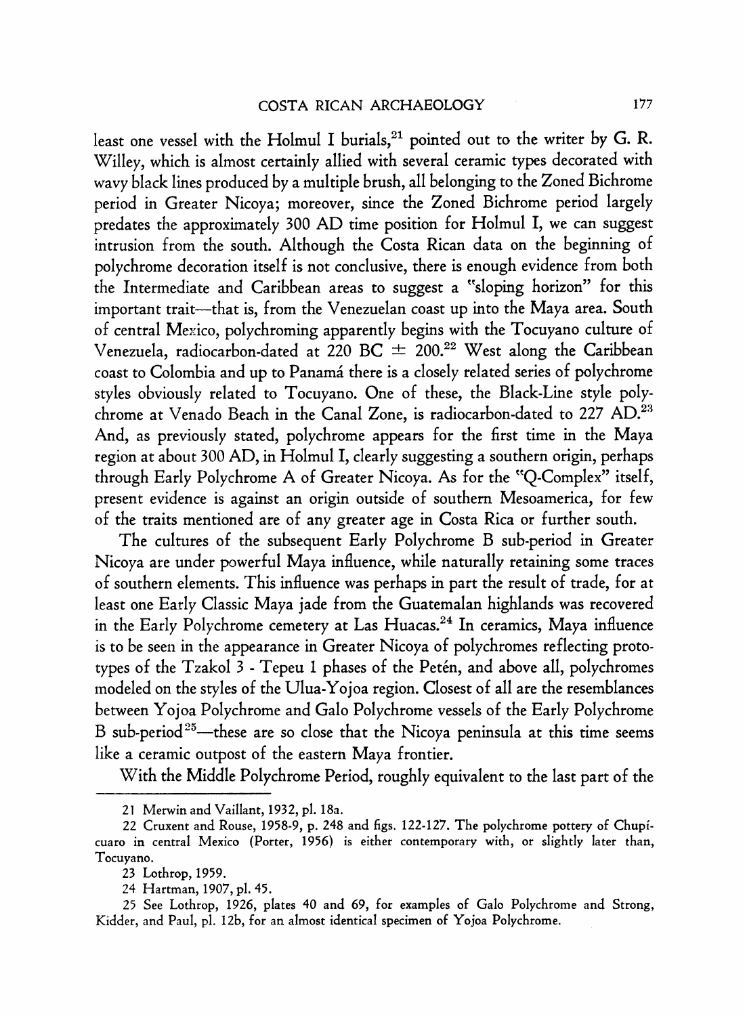least one vessel with the Holmul I burials,<sup>21</sup> pointed out to the writer by G. R. **Willey, which is almost certainly allied with several ceramic types decorated with wavy black lines produced by a multiple brush, all belonging to the Zoned Bichrome period in Greater Nicoya; moreover, since the Zoned Bichrome period largely predates the approximately 300 AD time position for Holmul I, we can suggest intrusion from the south. Although the Costa Rican data on the beginning of polychrome decoration itself is not conclusive, there is enough evidence from both the Intermediate and Caribbean areas to suggest a "sloping horizon" for this important trait-that is, from the Venezuelan coast up into the Maya area. South of central Mexico, polychroming apparently begins with the Tocuyano culture of Venezuela, radiocarbon-dated at 220 BC - 200.22 West along the Caribbean**  coast to Colombia and up to Panamá there is a closely related series of polychrome **styles obviously related to Tocuyano. One of these, the Black-Line style polychrome at Venado Beach in the Canal Zone, is radiocarbon-dated to 227 AD.23 And, as previously stated, polychrome appears for the first time in the Maya region at about 300 AD, in Holmul I, clearly suggesting a southern origin, perhaps through Early Polychrome A of Greater Nicoya. As for the "Q-Complex" itself, present evidence is against an origin outside of southern Mesoamerica, for few of the traits mentioned are of any greater age in Costa Rica or further south.** 

**The cultures of the subsequent Early Polychrome B sub-period in Greater Nicoya are under powerful Maya influence, while naturally retaining some traces of southern elements. This influence was perhaps in part the result of trade, for at least one Early Classic Maya jade from the Guatemalan highlands was recovered in the Early Polychrome cemetery at Las Huacas.24 In ceramics, Maya influence is to be seen in the appearance in Greater Nicoya of polychromes reflecting prototypes of the Tzakol 3 - Tepeu 1 phases of the Peten, and above all, polychromes modeled on the styles of the Ulua-Yojoa region. Closest of all are the resemblances between Yojoa Polychrome and Galo Polychrome vessels of the Early Polychrome**  B sub-period<sup>25</sup>—these are so close that the Nicoya peninsula at this time seems **like a ceramic outpost of the eastern Maya frontier.** 

**With the Middle Polychrome Period, roughly equivalent to the last part of the** 

**<sup>21</sup> Merwin and Vaillant, 1932, pl. 18a.** 

**<sup>22</sup> Cruxent and Rouse, 1958-9, p. 248 and figs. 122-127. The polychrome pottery of Chupicuaro in central Mexico (Porter, 1956) is either contemporary with, or slightly later than, Tocuyano.** 

**<sup>23</sup> Lothrop, 1959.** 

**<sup>24</sup> Hartman, 1907, pl. 45.** 

**<sup>25</sup> See Lothrop, 1926, plates 40 and 69, for examples of Galo Polychrome and Strong, Kidder, and Paul, pl. 12b, for an almost identical specimen of Yojoa Polychrome.**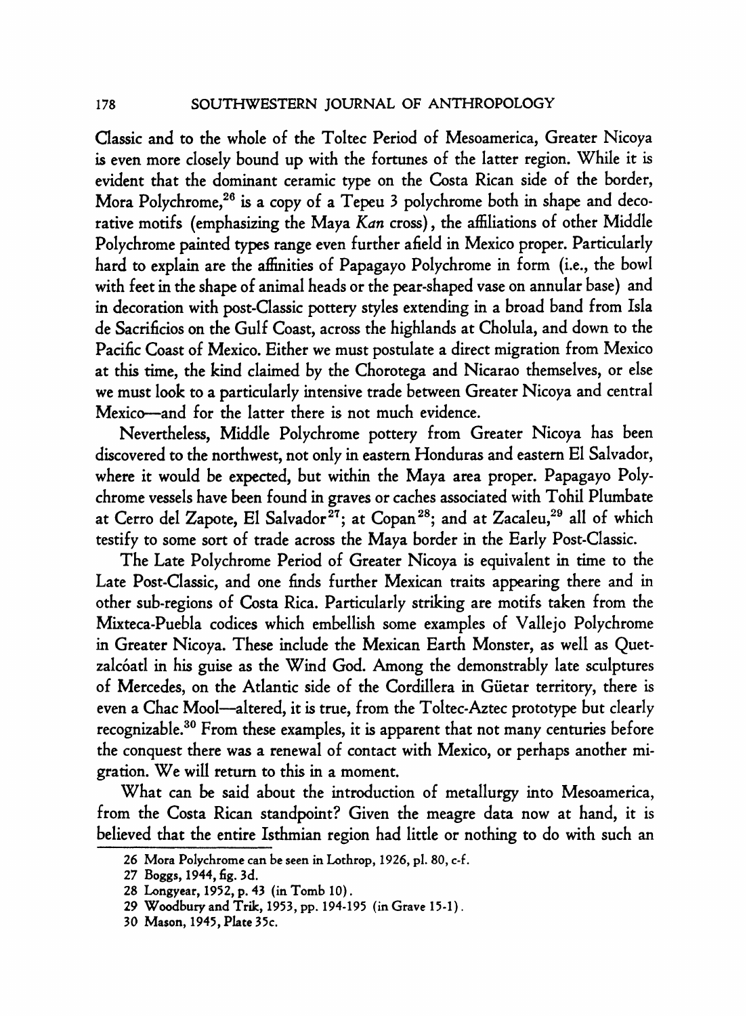**SOUTHWESTERN JOURNAL OF ANTHROPOLOGY** 

**Classic and to the whole of the Toltec Period of Mesoamerica, Greater Nicoya is even more closely bound up with the fortunes of the latter region. While it is evident that the dominant ceramic type on the Costa Rican side of the border,**  Mora Polychrome,<sup>26</sup> is a copy of a Tepeu 3 polychrome both in shape and deco**rative motifs (emphasizing the Maya Kan cross), the affiliations of other Middle Polychrome painted types range even further afield in Mexico proper. Particularly hard to explain are the affinities of Papagayo Polychrome in form (i.e., the bowl with feet in the shape of animal heads or the pear-shaped vase on annular base) and in decoration with post-Classic pottery styles extending in a broad band from Isla de Sacrificios on the Gulf Coast, across the highlands at Cholula, and down to the Pacific Coast of Mexico. Either we must postulate a direct migration from Mexico at this time, the kind claimed by the Chorotega and Nicarao themselves, or else we must look to a particularly intensive trade between Greater Nicoya and central Mexico-and for the latter there is not much evidence.** 

**Nevertheless, Middle Polychrome pottery from Greater Nicoya has been discovered to the northwest, not only in eastern Honduras and eastern El Salvador, where it would be expected, but within the Maya area proper. Papagayo Polychrome vessels have been found in graves or caches associated with Tohil Plumbate**  at Cerro del Zapote, El Salvador<sup>27</sup>; at Copan<sup>28</sup>; and at Zacaleu,<sup>29</sup> all of which **testify to some sort of trade across the Maya border in the Early Post-Classic.** 

**The Late Polychrome Period of Greater Nicoya is equivalent in time to the Late Post-Classic, and one finds further Mexican traits appearing there and in other sub-regions of Costa Rica. Particularly striking are motifs taken from the Mixteca-Puebla codices which embellish some examples of Vallejo Polychrome in Greater Nicoya. These include the Mexican Earth Monster, as well as Quetzalc6atl in his guise as the Wind God. Among the demonstrably late sculptures of Mercedes, on the Atlantic side of the Cordillera in Giietar territory, there is even a Chac Mool-altered, it is true, from the Toltec-Aztec prototype but clearly recognizable.30 From these examples, it is apparent that not many centuries before the conquest there was a renewal of contact with Mexico, or perhaps another migration. We will return to this in a moment.** 

**What can be said about the introduction of metallurgy into Mesoamerica, from the Costa Rican standpoint? Given the meagre data now at hand, it is believed that the entire Isthmian region had little or nothing to do with such an** 

**<sup>26</sup> Mora Polychrome can be seen in Lothrop, 1926, pl. 80, c-f.** 

**<sup>27</sup> Boggs, 1944, fig. 3d.** 

**<sup>28</sup> Longyear, 1952, p. 43 (in Tomb 10).** 

**<sup>29</sup> Woodbury and Trik, 1953, pp. 194-195 (in Grave 15-1).** 

**<sup>30</sup> Mason, 1945, Plate 35c.**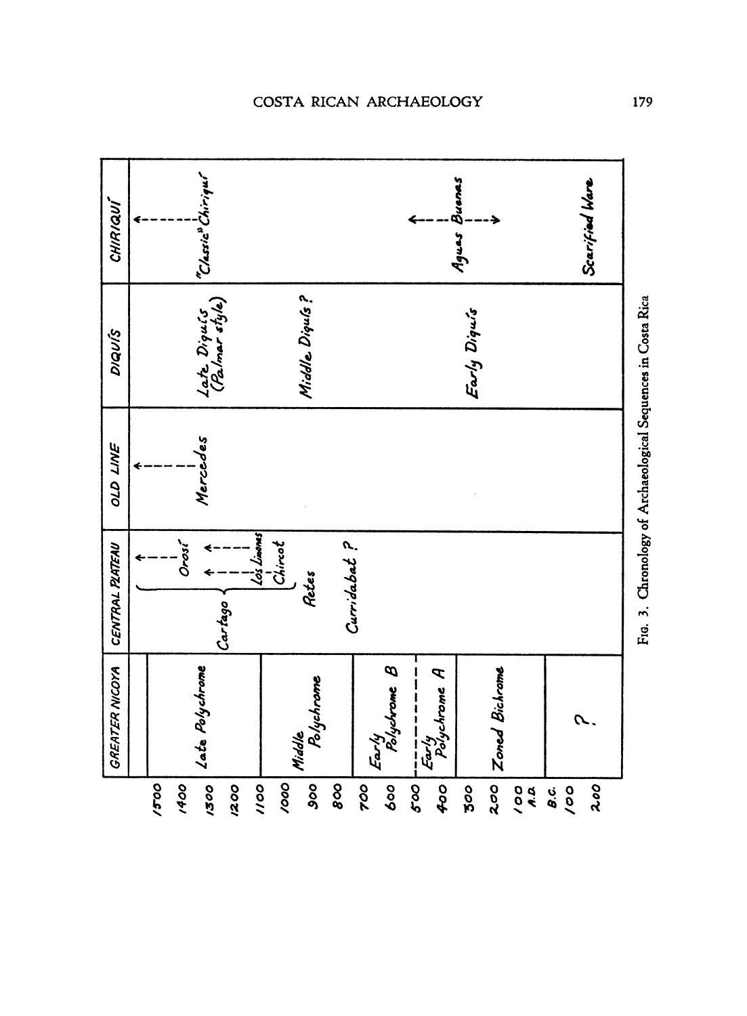| CHIRIQUÍ              |                                                                      |      | "Classic" Chiriqui            |      |             |                      |     |    |     |              | Agues Buenas                                                                                                                                                                |     |     |                |                                                                  |     | Scarified Ware |                                        |   |
|-----------------------|----------------------------------------------------------------------|------|-------------------------------|------|-------------|----------------------|-----|----|-----|--------------|-----------------------------------------------------------------------------------------------------------------------------------------------------------------------------|-----|-----|----------------|------------------------------------------------------------------|-----|----------------|----------------------------------------|---|
| DIQUÍS                |                                                                      |      | Late Diquis<br>(Palmar style) |      |             | Middle Diquís?       |     |    |     | Early Diquis |                                                                                                                                                                             |     |     |                |                                                                  |     |                |                                        | ë |
| OLD LINE              |                                                                      |      | Mercedes                      |      |             |                      |     |    |     |              |                                                                                                                                                                             |     |     |                |                                                                  |     |                | $\epsilon$ And and also the $\epsilon$ |   |
| CENTRAL PLATEAU       | Lo's Limones<br>Curridabat ?<br>Chiract<br>Orosí<br>Retes<br>Cartago |      |                               |      |             |                      |     |    |     |              |                                                                                                                                                                             |     |     |                |                                                                  |     | ٢<br>á         |                                        |   |
| <b>GREATER NICOYA</b> |                                                                      |      | Late Polychrome               |      |             | Polychrame<br>Middle |     |    |     |              | $ \frac{\mathcal{E}ar/y}{\mathcal{P}olyd$ rome $\mathcal B$ '<br>$\frac{\mathcal{E}\boldsymbol{\omega} \boldsymbol{\prime} \boldsymbol{\mathit{y}}}{\mathit{PoisChrome}}$ A |     |     | Zoned Bichrome |                                                                  |     |                |                                        |   |
|                       | 1500                                                                 | 1400 | 1300                          | 1200 | <b>ool/</b> | 000/                 | 800 | 88 | 900 | 89           | 500                                                                                                                                                                         | 400 | 300 | 200            | $\begin{array}{c} \mathbf{A} \cdot \mathbf{B} \end{array}$<br>00 | o.c | 100            | 2.00                                   |   |

r ٦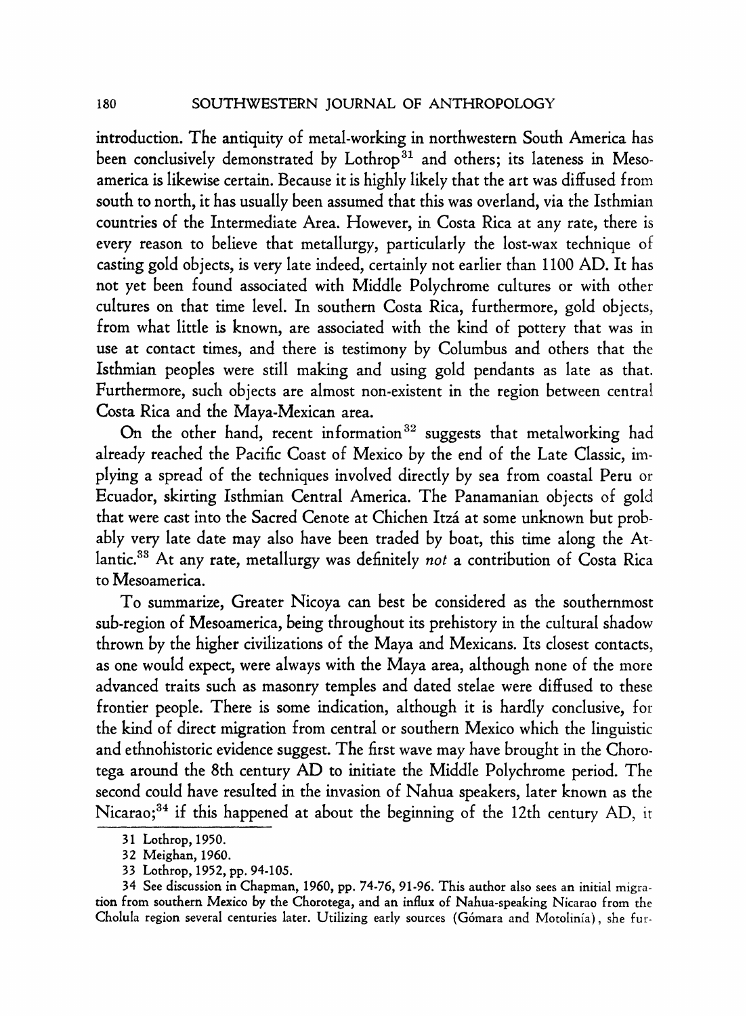**introduction. The antiquity of metal-working in northwestern South America has**  been conclusively demonstrated by Lothrop<sup>31</sup> and others; its lateness in Meso**america is likewise certain. Because it is highly likely that the art was diffused from south to north, it has usually been assumed that this was overland, via the Isthmian countries of the Intermediate Area. However, in Costa Rica at any rate, there is every reason to believe that metallurgy, particularly the lost-wax technique of casting gold objects, is very late indeed, certainly not earlier than 1100 AD. It has not yet been found associated with Middle Polychrome cultures or with other cultures on that time level. In southern Costa Rica, furthermore, gold objects, from what little is known, are associated with the kind of pottery that was in use at contact times, and there is testimony by Columbus and others that the Isthmian peoples were still making and using gold pendants as late as that. Furthermore, such objects are almost non-existent in the region between central Costa Rica and the Maya-Mexican area.** 

On the other hand, recent information<sup>32</sup> suggests that metalworking had **already reached the Pacific Coast of Mexico by the end of the Late Classic, implying a spread of the techniques involved directly by sea from coastal Peru or Ecuador, skirting Isthmian Central America. The Panamanian objects of gold that were cast into the Sacred Cenote at Chichen Itza at some unknown but probably very late date may also have been traded by boat, this time along the Atlantic.33 At any rate, metallurgy was definitely not a contribution of Costa Rica to Mesoamerica.** 

**To summarize, Greater Nicoya can best be considered as the southernmost sub-region of Mesoamerica, being throughout its prehistory in the cultural shadow thrown by the higher civilizations of the Maya and Mexicans. Its closest contacts, as one would expect, were always with the Maya area, although none of the more advanced traits such as masonry temples and dated stelae were diffused to these frontier people. There is some indication, although it is hardly conclusive, for the kind of direct migration from central or southern Mexico which the linguistic and ethnohistoric evidence suggest. The first wave may have brought in the Chorotega around the 8th century AD to initiate the Middle Polychrome period. The second could have resulted in the invasion of Nahua speakers, later known as the**  Nicarao;<sup>34</sup> if this happened at about the beginning of the 12th century AD, it

**<sup>31</sup> Lothrop, 1950.** 

**<sup>32</sup> Meighan, 1960.** 

**<sup>33</sup> Lothrop, 1952, pp. 94-105.** 

**<sup>34</sup> See discussion in Chapman, 1960, pp. 74-76, 91-96. This author also sees an initial migration from southern Mexico by the Chorotega, and an influx of Nahua-speaking Nicarao from the Cholula region several centuries later. Utilizing early sources (G6mara and Motolinia), she fur-**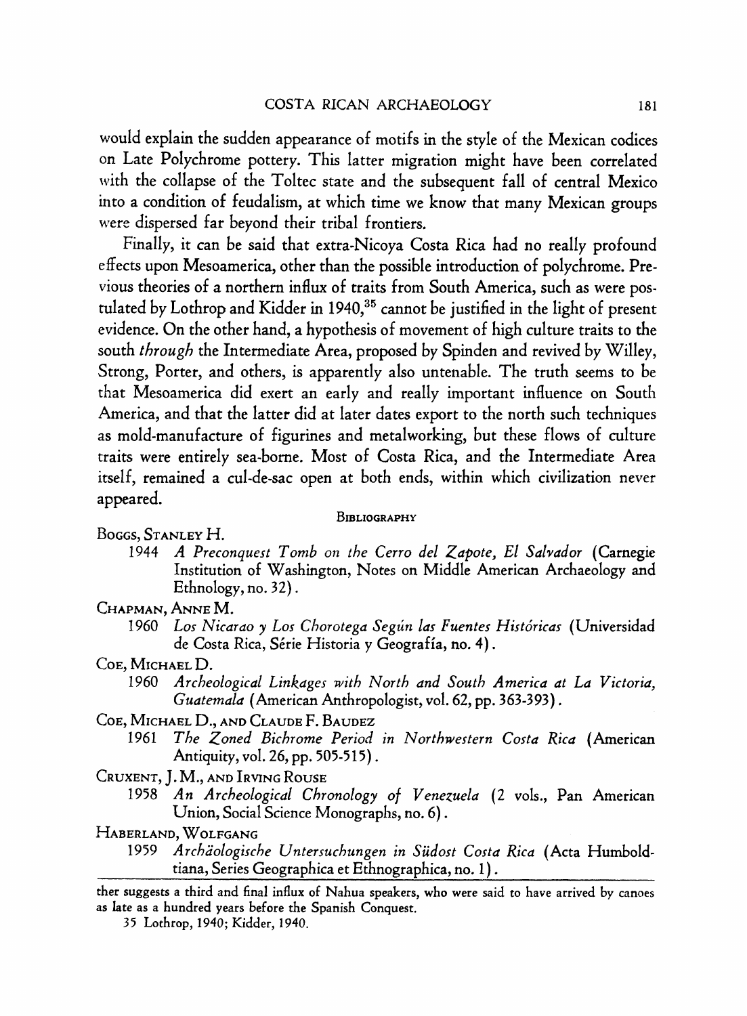**would explain the sudden appearance of motifs in the style of the Mexican codices on Late Polychrome pottery. This latter migration might have been correlated with the collapse of the Toltec state and the subsequent fall of central Mexico into a condition of feudalism, at which time we know that many Mexican groups were dispersed far beyond their tribal frontiers.** 

**Finally, it can be said that extra-Nicoya Costa Rica had no really profound effects upon Mesoamerica, other than the possible introduction of polychrome. Previous theories of a northern influx of traits from South America, such as were postulated by Lothrop and Kidder in 1940,35 cannot be justified in the light of present evidence. On the other hand, a hypothesis of movement of high culture traits to the south through the Intermediate Area, proposed by Spinden and revived by Willey, Strong, Porter, and others, is apparently also untenable. The truth seems to be that Mesoamerica did exert an early and really important influence on South America, and that the latter did at later dates export to the north such techniques as mold-manufacture of figurines and metalworking, but these flows of culture traits were entirely sea-borne. Most of Costa Rica, and the Intermediate Area itself, remained a cul-de-sac open at both ends, within which civilization never appeared.** 

## **BIBLIOGRAPHY**

- **BOGGS, STANLEY H.** 
	- **1944 A Preconquest Tomb on the Cerro del Zapote, El Salvador (Carnegie Institution of Washington, Notes on Middle American Archaeology and Ethnology, no. 32).**
- **CHAPMAN, ANNE M.** 
	- 1960 Los Nicarao y Los Chorotega Según las Fuentes Históricas (Universidad **de Costa Rica, Serie Historia y Geografia, no. 4).**
- **COE, MICHAEL D.** 
	- **1960 Archeological Linkages with North and South America at La Victoria, Guatemala (American Anthropologist, vol. 62, pp. 363-393).**
- **COE, MICHAEL D., AND CLAUDE F. BAUDEZ** 
	- **1961 The Zoned Bichrome Period in Northwestern Costa Rica (American Antiquity, vol. 26, pp. 505-515).**
- **CRUXENT, J. M., AND IRVING ROUSE** 
	- **1958 An Archeological Chronology of Venezuela (2 vols., Pan American Union, Social Science Monographs, no. 6).**
- **HABERLAND, WOLFGANG** 
	- **1959 Archiologische Untersuchungen in Siidost Costa Rica (Acta Humboldtiana, Series Geographica et Ethnographica, no. 1).**

**ther suggests a third and final influx of Nahua speakers, who were said to have arrived by canoes as late as a hundred years before the Spanish Conquest.** 

**35 Lothrop, 1940; Kidder, 1940.**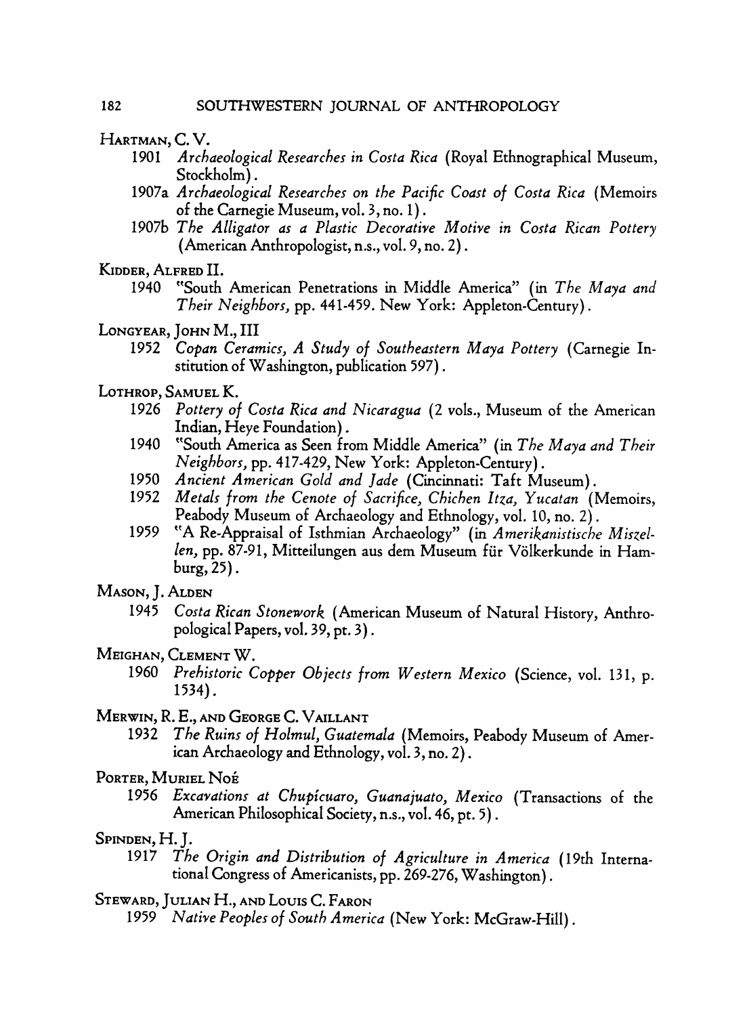- **HARTMAN, C. V.** 
	- **1901 Archaeological Researches in Costa Rica (Royal Ethnographical Museum, Stockholm).**
	- **1907a Archaeological Researches on the Pacific Coast of Costa Rica (Memoirs of the Carnegie Museum, vol. 3, no. 1).**
	- **1907b The Alligator as a Plastic Decorative Motive in Costa Rican Pottery (American Anthropologist, n.s., vol. 9, no. 2).**
- **KIDDER, ALFRED II.** 
	- **1940 "South American Penetrations in Middle America" (in The Maya and Their Neighbors, pp. 441-459. New York: Appleton-Century).**
- **LONGYEAR, JOHN M., III** 
	- **1952 Copan Ceramics, A Study of Southeastern Maya Pottery (Carnegie Institution of Washington, publication 597).**
- **LOTHROP, SAMUEL K.** 
	- **1926 Pottery of Costa Rica and Nicaragua (2 vols., Museum of the American Indian, Heye Foundation).**
	- **1940 "South America as Seen from Middle America" (in The Maya and Their Neighbors, pp. 417-429, New York: Appleton-Century).**
	- **1950 Ancient American Gold and Jade (Cincinnati: Taft Museum).**
	- **1952 Metals from the Cenote of Sacrifice, Chichen Itza, Yucatan (Memoirs, Peabody Museum of Archaeology and Ethnology, vol. 10, no. 2).**
	- **1959 "A Re-Appraisal of Isthmian Archaeology" (in Amerikanistische Miszellen, pp. 87-91, Mitteilungen aus dem Museum fur Volkerkunde in Hamburg, 25).**
- **MASON, J. ALDEN** 
	- **1945 Costa Rican Stonework (American Museum of Natural History, Anthropological Papers, vol. 39, pt. 3).**
- **MEIGHAN, CLEMENT W.** 
	- **1960 Prehistoric Copper Objects from Western Mexico (Science, vol. 131, p. 1534).**
- **MERWIN, R. E., AND GEORGE C. VAILLANT** 
	- **1932 The Ruins of Holmul, Guatemala (Memoirs, Peabody Museum of American Archaeology and Ethnology, vol. 3, no. 2).**
- **PORTER, MURIEL NOE** 
	- **1956 Excavations at Chupicuaro, Guanajuato, Mexico (Transactions of the American Philosophical Society, n.s., vol. 46, pt. 5).**
- **SPINDEN, H. J.** 
	- **1917 The Origin and Distribution of Agriculture in America (19th International Congress of Americanists, pp. 269-276, Washington).**
- **STEWARD, JULIAN H., AND LOUIS C. FARON** 
	- **1959 Native Peoples of South America (New York: McGraw-Hill).**